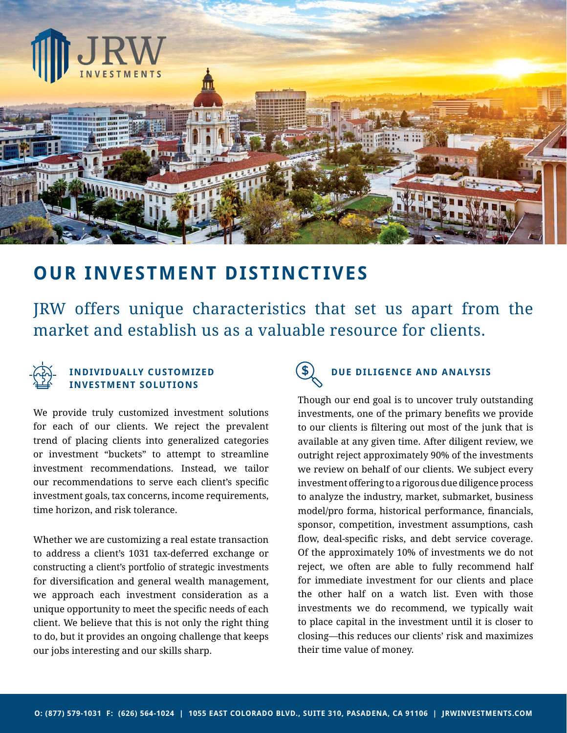

# **OUR INVESTMENT DISTINCTIVES**

JRW offers unique characteristics that set us apart from the market and establish us as a valuable resource for clients.



### **INDIVIDUALLY CUSTOMIZED INVESTMENT SOLUTIONS**

We provide truly customized investment solutions for each of our clients. We reject the prevalent trend of placing clients into generalized categories or investment "buckets" to attempt to streamline investment recommendations. Instead, we tailor our recommendations to serve each client's specific investment goals, tax concerns, income requirements, time horizon, and risk tolerance.

Whether we are customizing a real estate transaction to address a client's 1031 tax-deferred exchange or constructing a client's portfolio of strategic investments for diversification and general wealth management, we approach each investment consideration as a unique opportunity to meet the specific needs of each client. We believe that this is not only the right thing to do, but it provides an ongoing challenge that keeps our jobs interesting and our skills sharp.

# **DUE DILIGENCE AND ANALYSIS**

Though our end goal is to uncover truly outstanding investments, one of the primary benefits we provide to our clients is filtering out most of the junk that is available at any given time. After diligent review, we outright reject approximately 90% of the investments we review on behalf of our clients. We subject every investment offering to a rigorous due diligence process to analyze the industry, market, submarket, business model/pro forma, historical performance, financials, sponsor, competition, investment assumptions, cash flow, deal-specific risks, and debt service coverage. Of the approximately 10% of investments we do not reject, we often are able to fully recommend half for immediate investment for our clients and place the other half on a watch list. Even with those investments we do recommend, we typically wait to place capital in the investment until it is closer to closing—this reduces our clients' risk and maximizes their time value of money.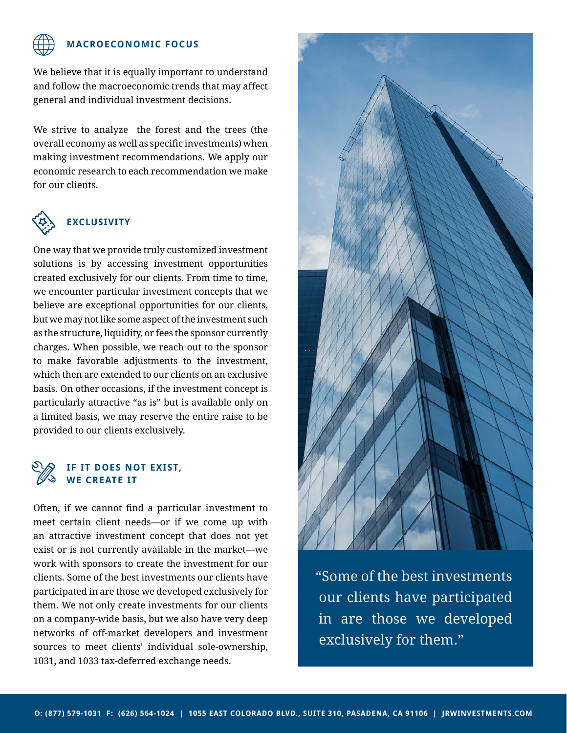

#### **MACROECONOMIC FOCUS**

We believe that it is equally important to understand and follow the macroeconomic trends that may affect general and individual investment decisions.

We strive to analyze the forest and the trees (the overall economy as well as specific investments) when making investment recommendations. We apply our economic research to each recommendation we make for our clients.



## **EXCLUSIVITY**

One way that we provide truly customized investment solutions is by accessing investment opportunities created exclusively for our clients. From time to time, we encounter particular investment concepts that we believe are exceptional opportunities for our clients, but we may not like some aspect of the investment such as the structure, liquidity, or fees the sponsor currently charges. When possible, we reach out to the sponsor to make favorable adjustments to the investment, which then are extended to our clients on an exclusive basis. On other occasions, if the investment concept is particularly attractive "as is" but is available only on a limited basis, we may reserve the entire raise to be provided to our clients exclusively.

#### **IF IT DOES NOT EXIST, WE CREATE IT**

Often, if we cannot find a particular investment to meet certain client needs—or if we come up with an attractive investment concept that does not yet exist or is not currently available in the market—we work with sponsors to create the investment for our clients. Some of the best investments our clients have participated in are those we developed exclusively for them. We not only create investments for our clients on a company-wide basis, but we also have very deep networks of off-market developers and investment sources to meet clients' individual sole-ownership, 1031, and 1033 tax-deferred exchange needs.



"Some of the best investments our clients have participated in are those we developed exclusively for them."